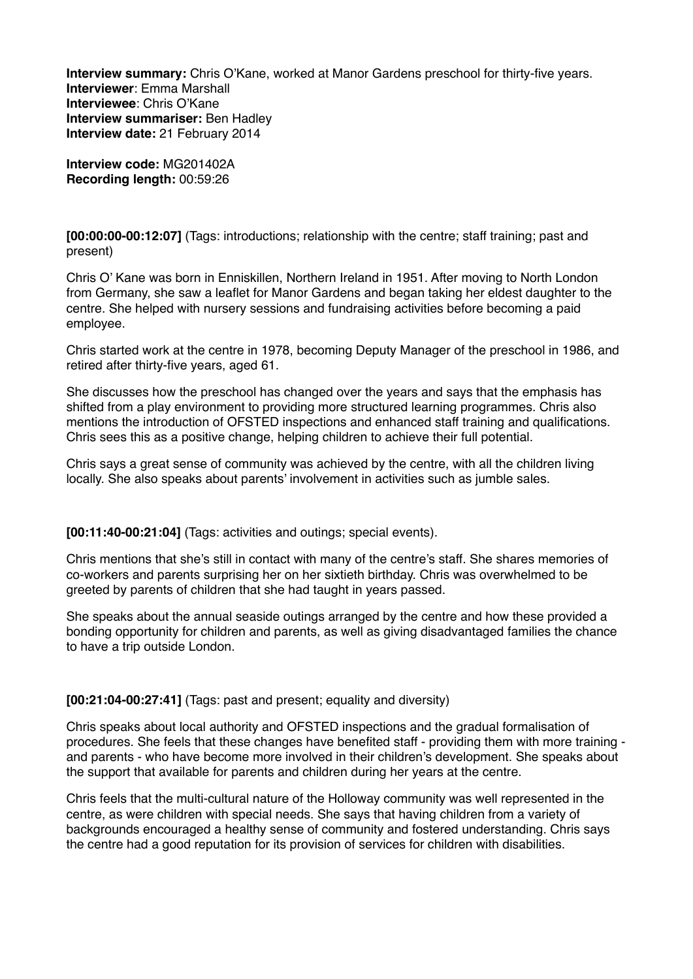**Interview summary:** Chris O'Kane, worked at Manor Gardens preschool for thirty-five years. **Interviewer**: Emma Marshall **Interviewee**: Chris O'Kane **Interview summariser:** Ben Hadley **Interview date:** 21 February 2014

**Interview code:** MG201402A **Recording length:** 00:59:26

**[00:00:00-00:12:07]** (Tags: introductions; relationship with the centre; staff training; past and present)

Chris O' Kane was born in Enniskillen, Northern Ireland in 1951. After moving to North London from Germany, she saw a leaflet for Manor Gardens and began taking her eldest daughter to the centre. She helped with nursery sessions and fundraising activities before becoming a paid employee.

Chris started work at the centre in 1978, becoming Deputy Manager of the preschool in 1986, and retired after thirty-five years, aged 61.

She discusses how the preschool has changed over the years and says that the emphasis has shifted from a play environment to providing more structured learning programmes. Chris also mentions the introduction of OFSTED inspections and enhanced staff training and qualifications. Chris sees this as a positive change, helping children to achieve their full potential.

Chris says a great sense of community was achieved by the centre, with all the children living locally. She also speaks about parents' involvement in activities such as jumble sales.

**[00:11:40-00:21:04]** (Tags: activities and outings; special events).

Chris mentions that she's still in contact with many of the centre's staff. She shares memories of co-workers and parents surprising her on her sixtieth birthday. Chris was overwhelmed to be greeted by parents of children that she had taught in years passed.

She speaks about the annual seaside outings arranged by the centre and how these provided a bonding opportunity for children and parents, as well as giving disadvantaged families the chance to have a trip outside London.

**[00:21:04-00:27:41]** (Tags: past and present; equality and diversity)

Chris speaks about local authority and OFSTED inspections and the gradual formalisation of procedures. She feels that these changes have benefited staff - providing them with more training and parents - who have become more involved in their children's development. She speaks about the support that available for parents and children during her years at the centre.

Chris feels that the multi-cultural nature of the Holloway community was well represented in the centre, as were children with special needs. She says that having children from a variety of backgrounds encouraged a healthy sense of community and fostered understanding. Chris says the centre had a good reputation for its provision of services for children with disabilities.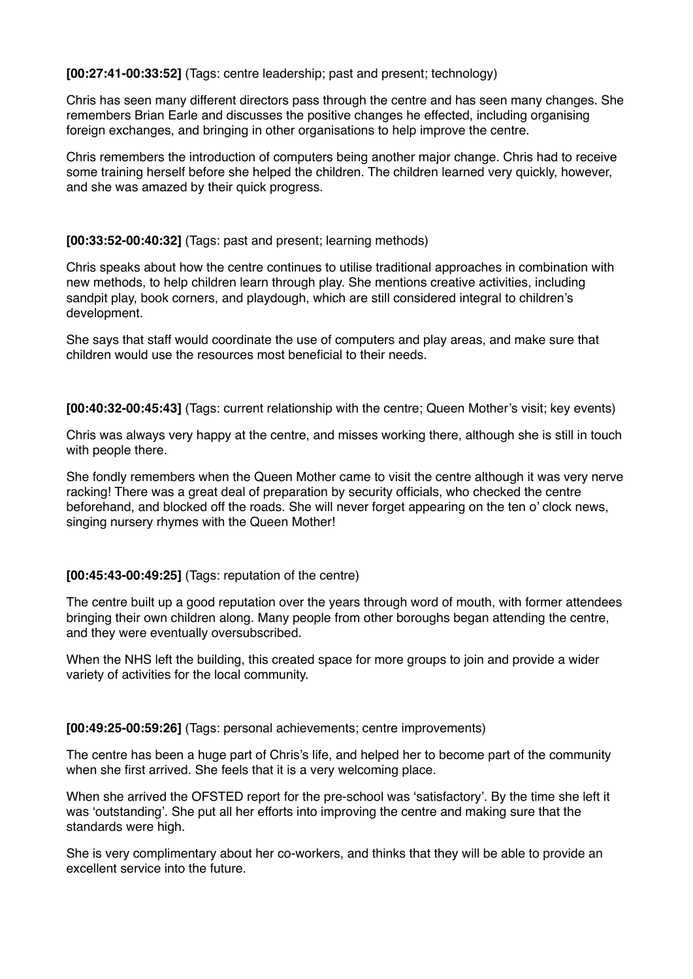**[00:27:41-00:33:52]** (Tags: centre leadership; past and present; technology)

Chris has seen many different directors pass through the centre and has seen many changes. She remembers Brian Earle and discusses the positive changes he effected, including organising foreign exchanges, and bringing in other organisations to help improve the centre.

Chris remembers the introduction of computers being another major change. Chris had to receive some training herself before she helped the children. The children learned very quickly, however, and she was amazed by their quick progress.

## **[00:33:52-00:40:32]** (Tags: past and present; learning methods)

Chris speaks about how the centre continues to utilise traditional approaches in combination with new methods, to help children learn through play. She mentions creative activities, including sandpit play, book corners, and playdough, which are still considered integral to children's development.

She says that staff would coordinate the use of computers and play areas, and make sure that children would use the resources most beneficial to their needs.

**[00:40:32-00:45:43]** (Tags: current relationship with the centre; Queen Mother's visit; key events)

Chris was always very happy at the centre, and misses working there, although she is still in touch with people there.

She fondly remembers when the Queen Mother came to visit the centre although it was very nerve racking! There was a great deal of preparation by security officials, who checked the centre beforehand, and blocked off the roads. She will never forget appearing on the ten o' clock news, singing nursery rhymes with the Queen Mother!

## **[00:45:43-00:49:25]** (Tags: reputation of the centre)

The centre built up a good reputation over the years through word of mouth, with former attendees bringing their own children along. Many people from other boroughs began attending the centre, and they were eventually oversubscribed.

When the NHS left the building, this created space for more groups to join and provide a wider variety of activities for the local community.

## **[00:49:25-00:59:26]** (Tags: personal achievements; centre improvements)

The centre has been a huge part of Chris's life, and helped her to become part of the community when she first arrived. She feels that it is a very welcoming place.

When she arrived the OFSTED report for the pre-school was 'satisfactory'. By the time she left it was 'outstanding'. She put all her efforts into improving the centre and making sure that the standards were high.

She is very complimentary about her co-workers, and thinks that they will be able to provide an excellent service into the future.